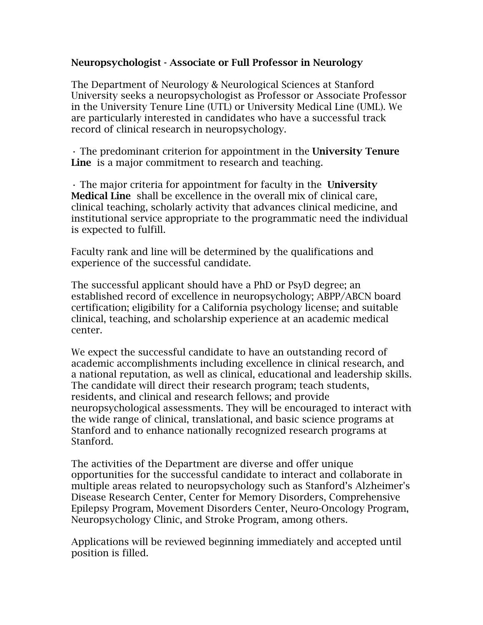## Neuropsychologist - Associate or Full Professor in Neurology

The Department of Neurology & Neurological Sciences at Stanford University seeks a neuropsychologist as Professor or Associate Professor in the University Tenure Line (UTL) or University Medical Line (UML). We are particularly interested in candidates who have a successful track record of clinical research in neuropsychology.

• The predominant criterion for appointment in the University Tenure Line is a major commitment to research and teaching.

• The major criteria for appointment for faculty in the University Medical Line shall be excellence in the overall mix of clinical care, clinical teaching, scholarly activity that advances clinical medicine, and institutional service appropriate to the programmatic need the individual is expected to fulfill.

Faculty rank and line will be determined by the qualifications and experience of the successful candidate.

The successful applicant should have a PhD or PsyD degree; an established record of excellence in neuropsychology; ABPP/ABCN board certification; eligibility for a California psychology license; and suitable clinical, teaching, and scholarship experience at an academic medical center.

We expect the successful candidate to have an outstanding record of academic accomplishments including excellence in clinical research, and a national reputation, as well as clinical, educational and leadership skills. The candidate will direct their research program; teach students, residents, and clinical and research fellows; and provide neuropsychological assessments. They will be encouraged to interact with the wide range of clinical, translational, and basic science programs at Stanford and to enhance nationally recognized research programs at Stanford.

The activities of the Department are diverse and offer unique opportunities for the successful candidate to interact and collaborate in multiple areas related to neuropsychology such as Stanford's Alzheimer's Disease Research Center, Center for Memory Disorders, Comprehensive Epilepsy Program, Movement Disorders Center, Neuro-Oncology Program, Neuropsychology Clinic, and Stroke Program, among others.

Applications will be reviewed beginning immediately and accepted until position is filled.